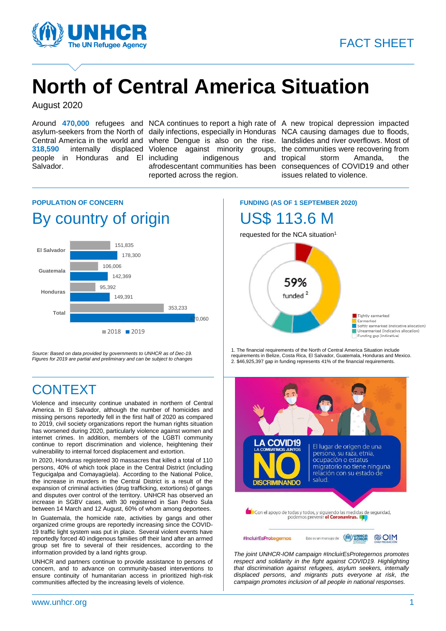

# **North of Central America Situation**

August 2020

people in Honduras and El Salvador.

indigenous and tropical reported across the region.

Around **470,000** refugees and NCA continues to report a high rate of A new tropical depression impacted asylum-seekers from the North of daily infections, especially in Honduras NCA causing damages due to floods, Central America in the world and where Dengue is also on the rise. landslides and river overflows. Most of **318,590** internally displaced Violence against minority groups, the communities were recovering from afrodescentant communities has been consequences of COVID19 and other storm Amanda, the issues related to violence.

## **POPULATION OF CONCERN** By country of origin



*Source: Based on data provided by governments to UNHCR as of Dec-19. Figures for 2019 are partial and preliminary and can be subject to changes*

# **CONTEXT**

Violence and insecurity continue unabated in northern of Central America. In El Salvador, although the number of homicides and missing persons reportedly fell in the first half of 2020 as compared to 2019, civil society organizations report the human rights situation has worsened during 2020, particularly violence against women and internet crimes. In addition, members of the LGBTI community continue to report discrimination and violence, heightening their vulnerability to internal forced displacement and extortion.

In 2020, Honduras registered 30 massacres that killed a total of 110 persons, 40% of which took place in the Central District (including Tegucigalpa and Comayagüela). According to the National Police, the increase in murders in the Central District is a result of the expansion of criminal activities (drug trafficking, extortions) of gangs and disputes over control of the territory. UNHCR has observed an increase in SGBV cases, with 30 registered in San Pedro Sula between 14 March and 12 August, 60% of whom among deportees.

In Guatemala, the homicide rate, activities by gangs and other organized crime groups are reportedly increasing since the COVID-19 traffic light system was put in place. Several violent events have reportedly forced 40 indigenous families off their land after an armed group set fire to several of their residences, according to the information provided by a land rights group.

UNHCR and partners continue to provide assistance to persons of concern, and to advance on community-based interventions to ensure continuity of humanitarian access in prioritized high-risk communities affected by the increasing levels of violence.

# **FUNDING (AS OF 1 SEPTEMBER 2020)**

# US\$ 113.6 M

requested for the NCA situation<sup>1</sup>



1. The financial requirements of the North of Central America Situation include requirements in Belize, Costa Rica, El Salvador, Guatemala, Honduras and Mexico. 2. \$46,925,397 gap in funding represents 41% of the financial requirements.



*The joint UNHCR-IOM campaign #IncluirEsProtegernos promotes respect and solidarity in the fight against COVID19. Highlighting that discrimination against refugees, asylum seekers, internally displaced persons, and migrants puts everyone at risk, the campaign promotes inclusion of all people in national responses.*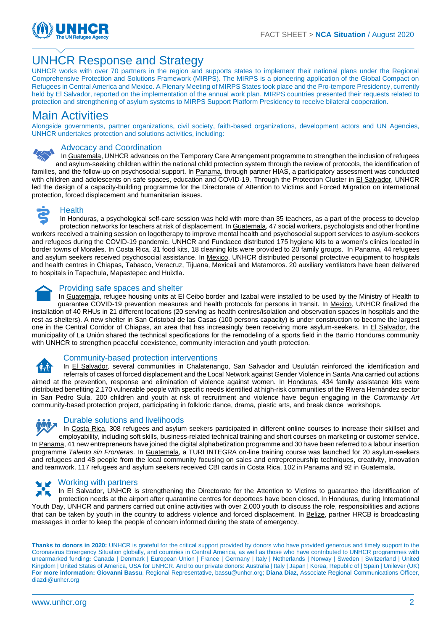

### UNHCR Response and Strategy

UNHCR works with over 70 partners in the region and supports states to implement their national plans under the Regional Comprehensive Protection and Solutions Framework (MIRPS). The MIRPS is a pioneering application of the Global Compact on Refugees in Central America and Mexico. A Plenary Meeting of MIRPS States took place and the Pro-tempore Presidency, currently held by El Salvador, reported on the implementation of the annual work plan. MIRPS countries presented their requests related to protection and strengthening of asylum systems to MIRPS Support Platform Presidency to receive bilateral cooperation.

#### Main Activities

Alongside governments, partner organizations, civil society, faith-based organizations, development actors and UN Agencies, UNHCR undertakes protection and solutions activities, including:

#### Advocacy and Coordination

In Guatemala, UNHCR advances on the Temporary Care Arrangement programme to strengthen the inclusion of refugees and asylum-seeking children within the national child protection system through the review of protocols, the identification of families, and the follow-up on psychosocial support. In Panama, through partner HIAS, a participatory assessment was conducted with children and adolescents on safe spaces, education and COVID-19. Through the Protection Cluster in El Salvador, UNHCR led the design of a capacity-building programme for the Directorate of Attention to Victims and Forced Migration on international protection, forced displacement and humanitarian issues.



#### **Health**

In Honduras, a psychological self-care session was held with more than 35 teachers, as a part of the process to develop protection networks for teachers at risk of displacement. In Guatemala, 47 social workers, psychologists and other frontline workers received a training session on logotherapy to improve mental health and psychosocial support services to asylum-seekers and refugees during the COVID-19 pandemic. UNHCR and Fundaeco distributed 175 hygiene kits to a women's clinics located in border towns of Morales. In Costa Rica, 31 food kits, 18 cleaning kits were provided to 20 family groups. In Panama, 44 refugees and asylum seekers received psychosocial assistance. In Mexico, UNHCR distributed personal protective equipment to hospitals and health centres in Chiapas, Tabasco, Veracruz, Tijuana, Mexicali and Matamoros. 20 auxiliary ventilators have been delivered to hospitals in Tapachula, Mapastepec and Huixtla.



#### Providing safe spaces and shelter

In Guatemala, refugee housing units at El Ceibo border and Izabal were installed to be used by the Ministry of Health to guarantee COVID-19 prevention measures and health protocols for persons in transit. In Mexico, UNHCR finalized the installation of 40 RHUs in 21 different locations (20 serving as health centres/isolation and observation spaces in hospitals and the rest as shelters). A new shelter in San Cristobal de las Casas (100 persons capacity) is under construction to become the largest one in the Central Corridor of Chiapas, an area that has increasingly been receiving more asylum-seekers. In El Salvador, the municipality of La Unión shared the technical specifications for the remodeling of a sports field in the Barrio Honduras community with UNHCR to strengthen peaceful coexistence, community interaction and youth protection.



#### Community-based protection interventions

In El Salvador, several communities in Chalatenango, San Salvador and Usulután reinforced the identification and referrals of cases of forced displacement and the Local Network against Gender Violence in Santa Ana carried out actions aimed at the prevention, response and elimination of violence against women. In Honduras, 434 family assistance kits were distributed benefiting 2,170 vulnerable people with specific needs identified at high-risk communities of the Rivera Hernández sector in San Pedro Sula. 200 children and youth at risk of recruitment and violence have begun engaging in the *Community Art* community-based protection project, participating in folkloric dance, drama, plastic arts, and break dance workshops.



#### Durable solutions and livelihoods

In Costa Rica, 308 refugees and asylum seekers participated in different online courses to increase their skillset and employability, including soft skills, business-related technical training and short courses on marketing or customer service. In Panama, 41 new entrepreneurs have joined the digital alphabetization programme and 30 have been referred to a labour insertion programme *Talento sin Fronteras*. In Guatemala, a TURI INTEGRA on-line training course was launched for 20 asylum-seekers and refugees and 48 people from the local community focusing on sales and entrepreneurship techniques, creativity, innovation and teamwork. 117 refugees and asylum seekers received CBI cards in Costa Rica, 102 in Panama and 92 in Guatemala.

#### Working with partners

In El Salvador, UNHCR is strengthening the Directorate for the Attention to Victims to guarantee the identification of protection needs at the airport after quarantine centres for deportees have been closed. In Honduras, during International Youth Day, UNHCR and partners carried out online activities with over 2,000 youth to discuss the role, responsibilities and actions that can be taken by youth in the country to address violence and forced displacement. In Belize, partner HRCB is broadcasting messages in order to keep the people of concern informed during the state of emergency.

Thanks to donors in 2020: UNHCR is grateful for the critical support provided by donors who have provided generous and timely support to the Coronavirus Emergency Situation globally, and countries in Central America, as well as those who have contributed to UNHCR programmes with unearmarked funding**:** Canada | Denmark | European Union | France | Germany | Italy | Netherlands | Norway | Sweden | Switzerland | United Kingdom | United States of America, USA for UNHCR. And to our private donors: Australia | Italy | Japan | Korea, Republic of | Spain | Unilever (UK) **For more information: Giovanni Bassu**, Regional Representative, bassu@unhcr.org; **Diana Diaz,** Associate Regional Communications Officer, diazdi@unhcr.org